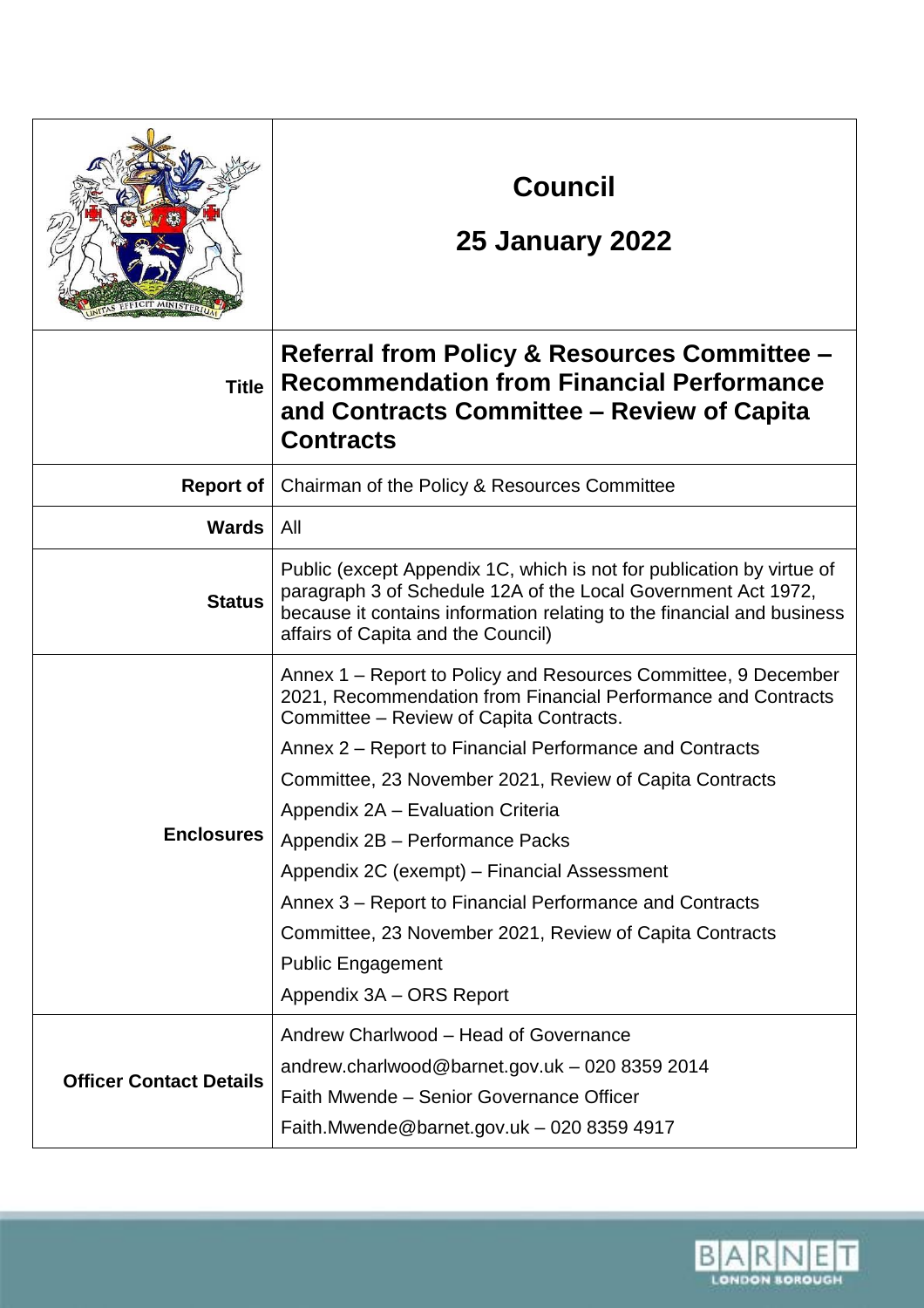|                                | <b>Council</b><br><b>25 January 2022</b>                                                                                                                                                                                                               |
|--------------------------------|--------------------------------------------------------------------------------------------------------------------------------------------------------------------------------------------------------------------------------------------------------|
| <b>Title</b>                   | Referral from Policy & Resources Committee –<br><b>Recommendation from Financial Performance</b><br>and Contracts Committee – Review of Capita<br><b>Contracts</b>                                                                                     |
| <b>Report of</b>               | Chairman of the Policy & Resources Committee                                                                                                                                                                                                           |
| <b>Wards</b>                   | All                                                                                                                                                                                                                                                    |
| <b>Status</b>                  | Public (except Appendix 1C, which is not for publication by virtue of<br>paragraph 3 of Schedule 12A of the Local Government Act 1972,<br>because it contains information relating to the financial and business<br>affairs of Capita and the Council) |
| <b>Enclosures</b>              | Annex 1 – Report to Policy and Resources Committee, 9 December<br>2021, Recommendation from Financial Performance and Contracts<br>Committee – Review of Capita Contracts.                                                                             |
|                                | Annex 2 – Report to Financial Performance and Contracts                                                                                                                                                                                                |
|                                | Committee, 23 November 2021, Review of Capita Contracts                                                                                                                                                                                                |
|                                | Appendix 2A - Evaluation Criteria                                                                                                                                                                                                                      |
|                                | Appendix 2B - Performance Packs                                                                                                                                                                                                                        |
|                                | Appendix 2C (exempt) – Financial Assessment<br>Annex 3 - Report to Financial Performance and Contracts                                                                                                                                                 |
|                                | Committee, 23 November 2021, Review of Capita Contracts                                                                                                                                                                                                |
|                                | <b>Public Engagement</b>                                                                                                                                                                                                                               |
|                                | Appendix 3A - ORS Report                                                                                                                                                                                                                               |
| <b>Officer Contact Details</b> | Andrew Charlwood - Head of Governance                                                                                                                                                                                                                  |
|                                | andrew.charlwood@barnet.gov.uk - 020 8359 2014                                                                                                                                                                                                         |
|                                | Faith Mwende - Senior Governance Officer                                                                                                                                                                                                               |
|                                | Faith.Mwende@barnet.gov.uk - 020 8359 4917                                                                                                                                                                                                             |

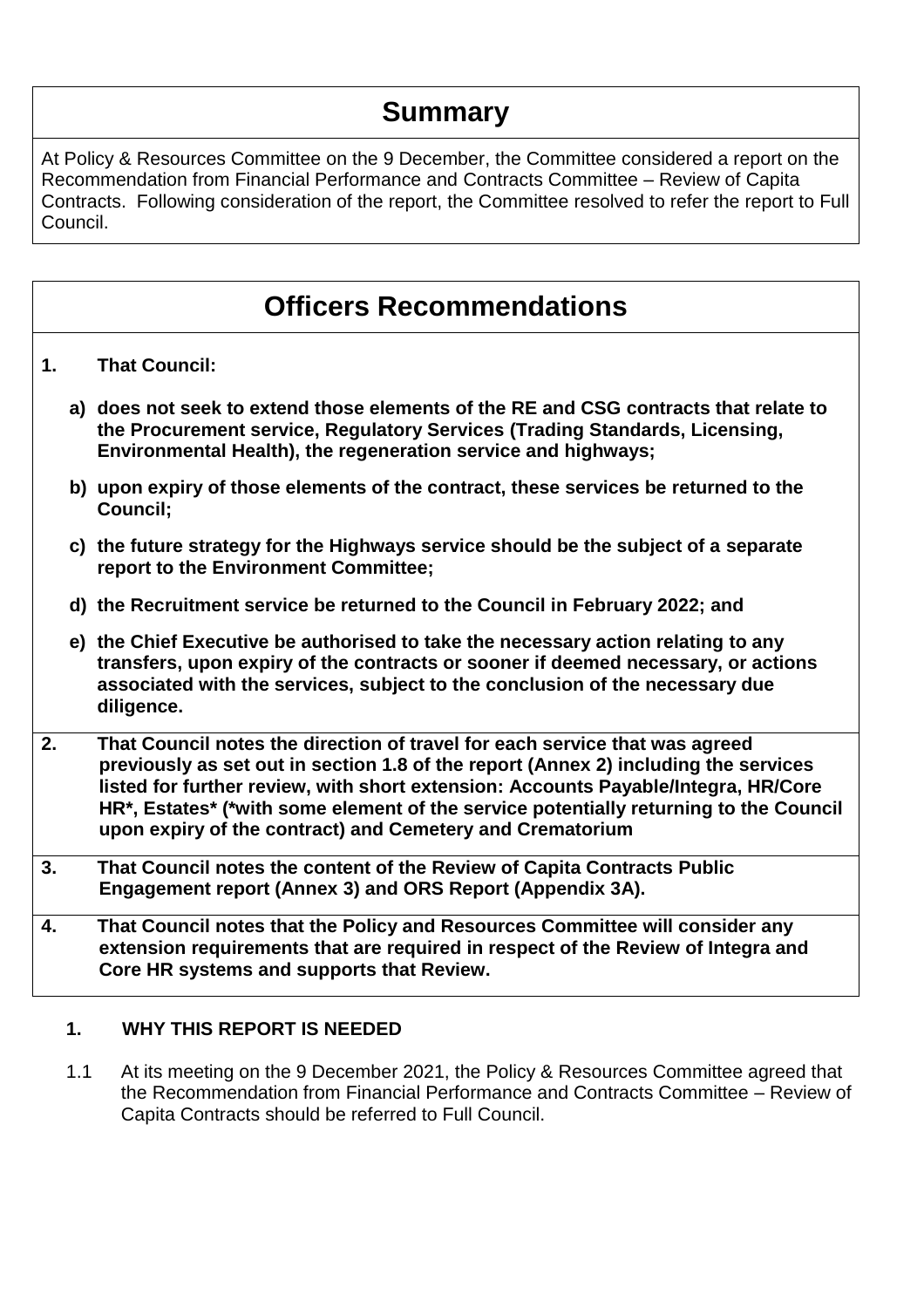# **Summary**

At Policy & Resources Committee on the 9 December, the Committee considered a report on the Recommendation from Financial Performance and Contracts Committee – Review of Capita Contracts. Following consideration of the report, the Committee resolved to refer the report to Full Council.

## **Officers Recommendations**

- **1. That Council:**
	- **a) does not seek to extend those elements of the RE and CSG contracts that relate to the Procurement service, Regulatory Services (Trading Standards, Licensing, Environmental Health), the regeneration service and highways;**
	- **b) upon expiry of those elements of the contract, these services be returned to the Council;**
	- **c) the future strategy for the Highways service should be the subject of a separate report to the Environment Committee;**
	- **d) the Recruitment service be returned to the Council in February 2022; and**
	- **e) the Chief Executive be authorised to take the necessary action relating to any transfers, upon expiry of the contracts or sooner if deemed necessary, or actions associated with the services, subject to the conclusion of the necessary due diligence.**
- **2. That Council notes the direction of travel for each service that was agreed previously as set out in section 1.8 of the report (Annex 2) including the services listed for further review, with short extension: Accounts Payable/Integra, HR/Core HR\*, Estates\* (\*with some element of the service potentially returning to the Council upon expiry of the contract) and Cemetery and Crematorium**
- **3. That Council notes the content of the Review of Capita Contracts Public Engagement report (Annex 3) and ORS Report (Appendix 3A).**
- **4. That Council notes that the Policy and Resources Committee will consider any extension requirements that are required in respect of the Review of Integra and Core HR systems and supports that Review.**

#### **1. WHY THIS REPORT IS NEEDED**

1.1 At its meeting on the 9 December 2021, the Policy & Resources Committee agreed that the Recommendation from Financial Performance and Contracts Committee – Review of Capita Contracts should be referred to Full Council.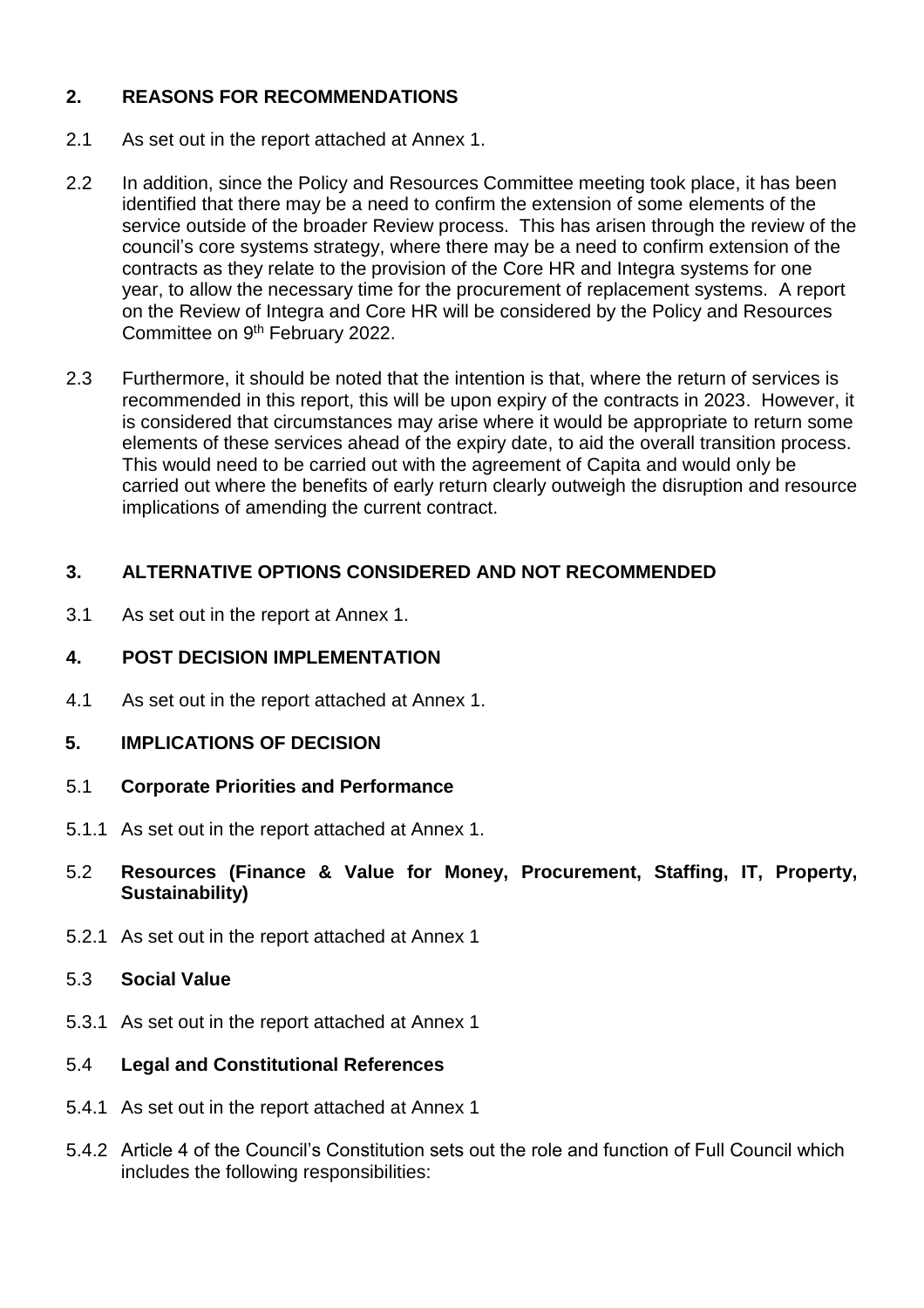## **2. REASONS FOR RECOMMENDATIONS**

- 2.1 As set out in the report attached at Annex 1.
- 2.2 In addition, since the Policy and Resources Committee meeting took place, it has been identified that there may be a need to confirm the extension of some elements of the service outside of the broader Review process. This has arisen through the review of the council's core systems strategy, where there may be a need to confirm extension of the contracts as they relate to the provision of the Core HR and Integra systems for one year, to allow the necessary time for the procurement of replacement systems. A report on the Review of Integra and Core HR will be considered by the Policy and Resources Committee on 9th February 2022.
- 2.3 Furthermore, it should be noted that the intention is that, where the return of services is recommended in this report, this will be upon expiry of the contracts in 2023. However, it is considered that circumstances may arise where it would be appropriate to return some elements of these services ahead of the expiry date, to aid the overall transition process. This would need to be carried out with the agreement of Capita and would only be carried out where the benefits of early return clearly outweigh the disruption and resource implications of amending the current contract.

## **3. ALTERNATIVE OPTIONS CONSIDERED AND NOT RECOMMENDED**

3.1 As set out in the report at Annex 1.

#### **4. POST DECISION IMPLEMENTATION**

- 4.1 As set out in the report attached at Annex 1.
- **5. IMPLICATIONS OF DECISION**
- 5.1 **Corporate Priorities and Performance**
- 5.1.1 As set out in the report attached at Annex 1.
- 5.2 **Resources (Finance & Value for Money, Procurement, Staffing, IT, Property, Sustainability)**
- 5.2.1 As set out in the report attached at Annex 1
- 5.3 **Social Value**
- 5.3.1 As set out in the report attached at Annex 1
- 5.4 **Legal and Constitutional References**
- 5.4.1 As set out in the report attached at Annex 1
- 5.4.2 Article 4 of the Council's Constitution sets out the role and function of Full Council which includes the following responsibilities: